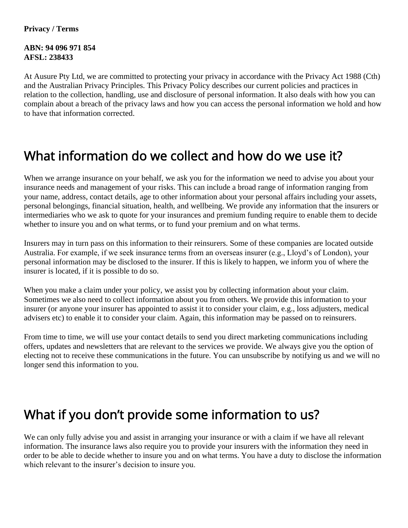#### **Privacy / Terms**

**ABN: 94 096 971 854 AFSL: 238433**

At Ausure Pty Ltd, we are committed to protecting your privacy in accordance with the Privacy Act 1988 (Cth) and the Australian Privacy Principles. This Privacy Policy describes our current policies and practices in relation to the collection, handling, use and disclosure of personal information. It also deals with how you can complain about a breach of the privacy laws and how you can access the personal information we hold and how to have that information corrected.

#### What information do we collect and how do we use it?

When we arrange insurance on your behalf, we ask you for the information we need to advise you about your insurance needs and management of your risks. This can include a broad range of information ranging from your name, address, contact details, age to other information about your personal affairs including your assets, personal belongings, financial situation, health, and wellbeing. We provide any information that the insurers or intermediaries who we ask to quote for your insurances and premium funding require to enable them to decide whether to insure you and on what terms, or to fund your premium and on what terms.

Insurers may in turn pass on this information to their reinsurers. Some of these companies are located outside Australia. For example, if we seek insurance terms from an overseas insurer (e.g., Lloyd's of London), your personal information may be disclosed to the insurer. If this is likely to happen, we inform you of where the insurer is located, if it is possible to do so.

When you make a claim under your policy, we assist you by collecting information about your claim. Sometimes we also need to collect information about you from others. We provide this information to your insurer (or anyone your insurer has appointed to assist it to consider your claim, e.g., loss adjusters, medical advisers etc) to enable it to consider your claim. Again, this information may be passed on to reinsurers.

From time to time, we will use your contact details to send you direct marketing communications including offers, updates and newsletters that are relevant to the services we provide. We always give you the option of electing not to receive these communications in the future. You can unsubscribe by notifying us and we will no longer send this information to you.

## What if you don't provide some information to us?

We can only fully advise you and assist in arranging your insurance or with a claim if we have all relevant information. The insurance laws also require you to provide your insurers with the information they need in order to be able to decide whether to insure you and on what terms. You have a duty to disclose the information which relevant to the insurer's decision to insure you.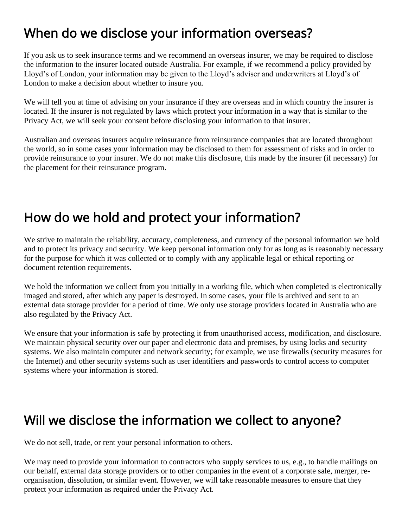## When do we disclose your information overseas?

If you ask us to seek insurance terms and we recommend an overseas insurer, we may be required to disclose the information to the insurer located outside Australia. For example, if we recommend a policy provided by Lloyd's of London, your information may be given to the Lloyd's adviser and underwriters at Lloyd's of London to make a decision about whether to insure you.

We will tell you at time of advising on your insurance if they are overseas and in which country the insurer is located. If the insurer is not regulated by laws which protect your information in a way that is similar to the Privacy Act, we will seek your consent before disclosing your information to that insurer.

Australian and overseas insurers acquire reinsurance from reinsurance companies that are located throughout the world, so in some cases your information may be disclosed to them for assessment of risks and in order to provide reinsurance to your insurer. We do not make this disclosure, this made by the insurer (if necessary) for the placement for their reinsurance program.

# How do we hold and protect your information?

We strive to maintain the reliability, accuracy, completeness, and currency of the personal information we hold and to protect its privacy and security. We keep personal information only for as long as is reasonably necessary for the purpose for which it was collected or to comply with any applicable legal or ethical reporting or document retention requirements.

We hold the information we collect from you initially in a working file, which when completed is electronically imaged and stored, after which any paper is destroyed. In some cases, your file is archived and sent to an external data storage provider for a period of time. We only use storage providers located in Australia who are also regulated by the Privacy Act.

We ensure that your information is safe by protecting it from unauthorised access, modification, and disclosure. We maintain physical security over our paper and electronic data and premises, by using locks and security systems. We also maintain computer and network security; for example, we use firewalls (security measures for the Internet) and other security systems such as user identifiers and passwords to control access to computer systems where your information is stored.

#### Will we disclose the information we collect to anyone?

We do not sell, trade, or rent your personal information to others.

We may need to provide your information to contractors who supply services to us, e.g., to handle mailings on our behalf, external data storage providers or to other companies in the event of a corporate sale, merger, reorganisation, dissolution, or similar event. However, we will take reasonable measures to ensure that they protect your information as required under the Privacy Act.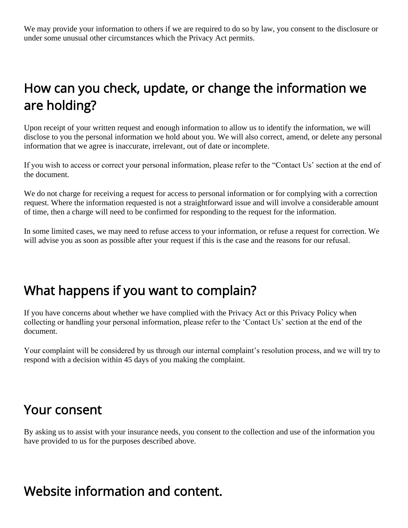We may provide your information to others if we are required to do so by law, you consent to the disclosure or under some unusual other circumstances which the Privacy Act permits.

## How can you check, update, or change the information we are holding?

Upon receipt of your written request and enough information to allow us to identify the information, we will disclose to you the personal information we hold about you. We will also correct, amend, or delete any personal information that we agree is inaccurate, irrelevant, out of date or incomplete.

If you wish to access or correct your personal information, please refer to the "Contact Us' section at the end of the document.

We do not charge for receiving a request for access to personal information or for complying with a correction request. Where the information requested is not a straightforward issue and will involve a considerable amount of time, then a charge will need to be confirmed for responding to the request for the information.

In some limited cases, we may need to refuse access to your information, or refuse a request for correction. We will advise you as soon as possible after your request if this is the case and the reasons for our refusal.

### What happens if you want to complain?

If you have concerns about whether we have complied with the Privacy Act or this Privacy Policy when collecting or handling your personal information, please refer to the 'Contact Us' section at the end of the document.

Your complaint will be considered by us through our internal complaint's resolution process, and we will try to respond with a decision within 45 days of you making the complaint.

#### Your consent

By asking us to assist with your insurance needs, you consent to the collection and use of the information you have provided to us for the purposes described above.

### Website information and content.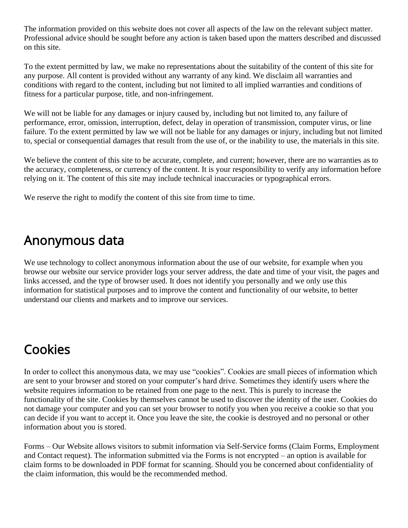The information provided on this website does not cover all aspects of the law on the relevant subject matter. Professional advice should be sought before any action is taken based upon the matters described and discussed on this site.

To the extent permitted by law, we make no representations about the suitability of the content of this site for any purpose. All content is provided without any warranty of any kind. We disclaim all warranties and conditions with regard to the content, including but not limited to all implied warranties and conditions of fitness for a particular purpose, title, and non-infringement.

We will not be liable for any damages or injury caused by, including but not limited to, any failure of performance, error, omission, interruption, defect, delay in operation of transmission, computer virus, or line failure. To the extent permitted by law we will not be liable for any damages or injury, including but not limited to, special or consequential damages that result from the use of, or the inability to use, the materials in this site.

We believe the content of this site to be accurate, complete, and current; however, there are no warranties as to the accuracy, completeness, or currency of the content. It is your responsibility to verify any information before relying on it. The content of this site may include technical inaccuracies or typographical errors.

We reserve the right to modify the content of this site from time to time.

## Anonymous data

We use technology to collect anonymous information about the use of our website, for example when you browse our website our service provider logs your server address, the date and time of your visit, the pages and links accessed, and the type of browser used. It does not identify you personally and we only use this information for statistical purposes and to improve the content and functionality of our website, to better understand our clients and markets and to improve our services.

# Cookies

In order to collect this anonymous data, we may use "cookies". Cookies are small pieces of information which are sent to your browser and stored on your computer's hard drive. Sometimes they identify users where the website requires information to be retained from one page to the next. This is purely to increase the functionality of the site. Cookies by themselves cannot be used to discover the identity of the user. Cookies do not damage your computer and you can set your browser to notify you when you receive a cookie so that you can decide if you want to accept it. Once you leave the site, the cookie is destroyed and no personal or other information about you is stored.

Forms – Our Website allows visitors to submit information via Self-Service forms (Claim Forms, Employment and Contact request). The information submitted via the Forms is not encrypted – an option is available for claim forms to be downloaded in PDF format for scanning. Should you be concerned about confidentiality of the claim information, this would be the recommended method.